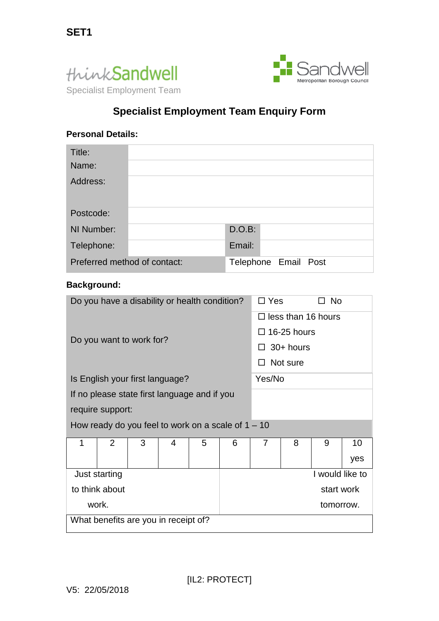



# **Specialist Employment Team Enquiry Form**

## **Personal Details:**

| Title:<br>Name:              |  |                      |  |  |
|------------------------------|--|----------------------|--|--|
| Address:                     |  |                      |  |  |
| Postcode:                    |  |                      |  |  |
| NI Number:                   |  | D.O.B:               |  |  |
| Telephone:                   |  | Email:               |  |  |
| Preferred method of contact: |  | Telephone Email Post |  |  |

## **Background:**

| Do you have a disability or health condition?        | $\Box$ Yes                | ⊐ No            |  |  |  |  |
|------------------------------------------------------|---------------------------|-----------------|--|--|--|--|
|                                                      | $\Box$ less than 16 hours |                 |  |  |  |  |
| Do you want to work for?                             | $\Box$ 16-25 hours        |                 |  |  |  |  |
|                                                      | $30+$ hours               |                 |  |  |  |  |
|                                                      | Not sure                  |                 |  |  |  |  |
| Is English your first language?                      | Yes/No                    |                 |  |  |  |  |
| If no please state first language and if you         |                           |                 |  |  |  |  |
| require support:                                     |                           |                 |  |  |  |  |
| How ready do you feel to work on a scale of $1 - 10$ |                           |                 |  |  |  |  |
| 1<br>$\overline{2}$<br>3<br>5<br>4                   | $\overline{7}$<br>8<br>6  | 9<br>10         |  |  |  |  |
|                                                      |                           | yes             |  |  |  |  |
| Just starting                                        |                           | I would like to |  |  |  |  |
| to think about                                       |                           | start work      |  |  |  |  |
| work.                                                |                           | tomorrow.       |  |  |  |  |
| What benefits are you in receipt of?                 |                           |                 |  |  |  |  |